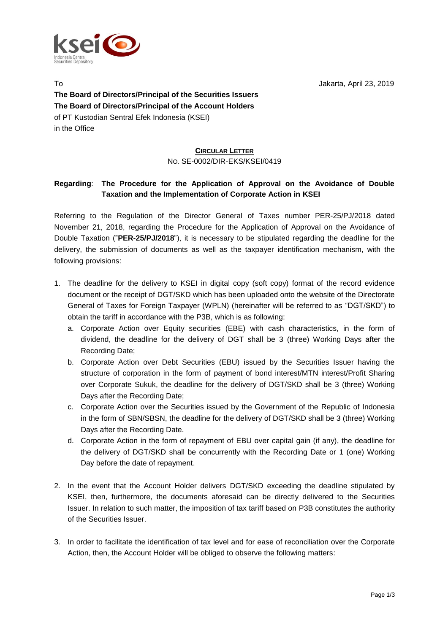

To Jakarta, April 23, 2019 **The Board of Directors/Principal of the Securities Issuers The Board of Directors/Principal of the Account Holders** of PT Kustodian Sentral Efek Indonesia (KSEI) in the Office

#### **CIRCULAR LETTER** NO. SE-0002/DIR-EKS/KSEI/0419

## **Regarding**: **The Procedure for the Application of Approval on the Avoidance of Double Taxation and the Implementation of Corporate Action in KSEI**

Referring to the Regulation of the Director General of Taxes number PER-25/PJ/2018 dated November 21, 2018, regarding the Procedure for the Application of Approval on the Avoidance of Double Taxation ("**PER-25/PJ/2018**"), it is necessary to be stipulated regarding the deadline for the delivery, the submission of documents as well as the taxpayer identification mechanism, with the following provisions:

- 1. The deadline for the delivery to KSEI in digital copy (soft copy) format of the record evidence document or the receipt of DGT/SKD which has been uploaded onto the website of the Directorate General of Taxes for Foreign Taxpayer (WPLN) (hereinafter will be referred to as "DGT/SKD") to obtain the tariff in accordance with the P3B, which is as following:
	- a. Corporate Action over Equity securities (EBE) with cash characteristics, in the form of dividend, the deadline for the delivery of DGT shall be 3 (three) Working Days after the Recording Date;
	- b. Corporate Action over Debt Securities (EBU) issued by the Securities Issuer having the structure of corporation in the form of payment of bond interest/MTN interest/Profit Sharing over Corporate Sukuk, the deadline for the delivery of DGT/SKD shall be 3 (three) Working Days after the Recording Date;
	- c. Corporate Action over the Securities issued by the Government of the Republic of Indonesia in the form of SBN/SBSN, the deadline for the delivery of DGT/SKD shall be 3 (three) Working Days after the Recording Date.
	- d. Corporate Action in the form of repayment of EBU over capital gain (if any), the deadline for the delivery of DGT/SKD shall be concurrently with the Recording Date or 1 (one) Working Day before the date of repayment.
- 2. In the event that the Account Holder delivers DGT/SKD exceeding the deadline stipulated by KSEI, then, furthermore, the documents aforesaid can be directly delivered to the Securities Issuer. In relation to such matter, the imposition of tax tariff based on P3B constitutes the authority of the Securities Issuer.
- 3. In order to facilitate the identification of tax level and for ease of reconciliation over the Corporate Action, then, the Account Holder will be obliged to observe the following matters: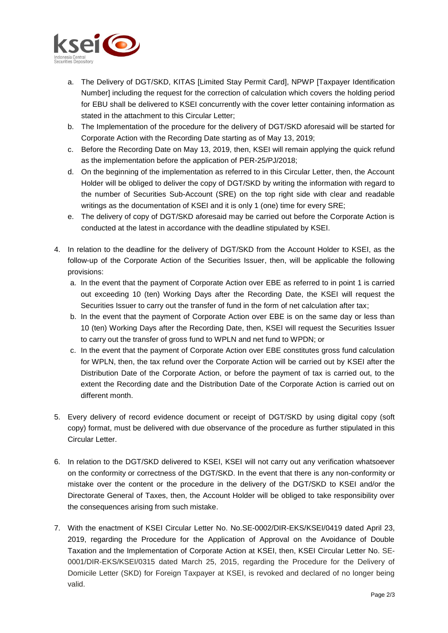

- a. The Delivery of DGT/SKD, KITAS [Limited Stay Permit Card], NPWP [Taxpayer Identification Number] including the request for the correction of calculation which covers the holding period for EBU shall be delivered to KSEI concurrently with the cover letter containing information as stated in the attachment to this Circular Letter;
- b. The Implementation of the procedure for the delivery of DGT/SKD aforesaid will be started for Corporate Action with the Recording Date starting as of May 13, 2019;
- c. Before the Recording Date on May 13, 2019, then, KSEI will remain applying the quick refund as the implementation before the application of PER-25/PJ/2018;
- d. On the beginning of the implementation as referred to in this Circular Letter, then, the Account Holder will be obliged to deliver the copy of DGT/SKD by writing the information with regard to the number of Securities Sub-Account (SRE) on the top right side with clear and readable writings as the documentation of KSEI and it is only 1 (one) time for every SRE;
- e. The delivery of copy of DGT/SKD aforesaid may be carried out before the Corporate Action is conducted at the latest in accordance with the deadline stipulated by KSEI.
- 4. In relation to the deadline for the delivery of DGT/SKD from the Account Holder to KSEI, as the follow-up of the Corporate Action of the Securities Issuer, then, will be applicable the following provisions:
	- a. In the event that the payment of Corporate Action over EBE as referred to in point 1 is carried out exceeding 10 (ten) Working Days after the Recording Date, the KSEI will request the Securities Issuer to carry out the transfer of fund in the form of net calculation after tax;
	- b. In the event that the payment of Corporate Action over EBE is on the same day or less than 10 (ten) Working Days after the Recording Date, then, KSEI will request the Securities Issuer to carry out the transfer of gross fund to WPLN and net fund to WPDN; or
	- c. In the event that the payment of Corporate Action over EBE constitutes gross fund calculation for WPLN, then, the tax refund over the Corporate Action will be carried out by KSEI after the Distribution Date of the Corporate Action, or before the payment of tax is carried out, to the extent the Recording date and the Distribution Date of the Corporate Action is carried out on different month.
- 5. Every delivery of record evidence document or receipt of DGT/SKD by using digital copy (soft copy) format, must be delivered with due observance of the procedure as further stipulated in this Circular Letter.
- 6. In relation to the DGT/SKD delivered to KSEI, KSEI will not carry out any verification whatsoever on the conformity or correctness of the DGT/SKD. In the event that there is any non-conformity or mistake over the content or the procedure in the delivery of the DGT/SKD to KSEI and/or the Directorate General of Taxes, then, the Account Holder will be obliged to take responsibility over the consequences arising from such mistake.
- 7. With the enactment of KSEI Circular Letter No. No.SE-0002/DIR-EKS/KSEI/0419 dated April 23, 2019, regarding the Procedure for the Application of Approval on the Avoidance of Double Taxation and the Implementation of Corporate Action at KSEI, then, KSEI Circular Letter No. SE-0001/DIR-EKS/KSEI/0315 dated March 25, 2015, regarding the Procedure for the Delivery of Domicile Letter (SKD) for Foreign Taxpayer at KSEI, is revoked and declared of no longer being valid.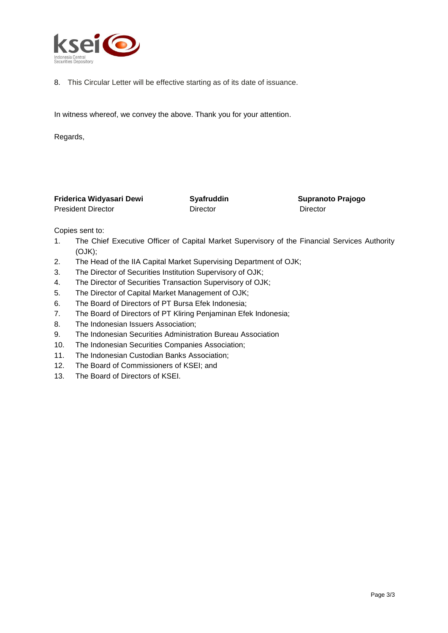

8. This Circular Letter will be effective starting as of its date of issuance.

In witness whereof, we convey the above. Thank you for your attention.

Regards,

| Friderica Widyasari Dewi  | Syafruddin | <b>Supranoto Prajogo</b> |  |
|---------------------------|------------|--------------------------|--|
| <b>President Director</b> | Director   | Director                 |  |

Copies sent to:

- 1. The Chief Executive Officer of Capital Market Supervisory of the Financial Services Authority (OJK);
- 2. The Head of the IIA Capital Market Supervising Department of OJK;
- 3. The Director of Securities Institution Supervisory of OJK;
- 4. The Director of Securities Transaction Supervisory of OJK;
- 5. The Director of Capital Market Management of OJK;
- 6. The Board of Directors of PT Bursa Efek Indonesia;
- 7. The Board of Directors of PT Kliring Penjaminan Efek Indonesia;
- 8. The Indonesian Issuers Association;
- 9. The Indonesian Securities Administration Bureau Association
- 10. The Indonesian Securities Companies Association;
- 11. The Indonesian Custodian Banks Association;
- 12. The Board of Commissioners of KSEI; and
- 13. The Board of Directors of KSEI.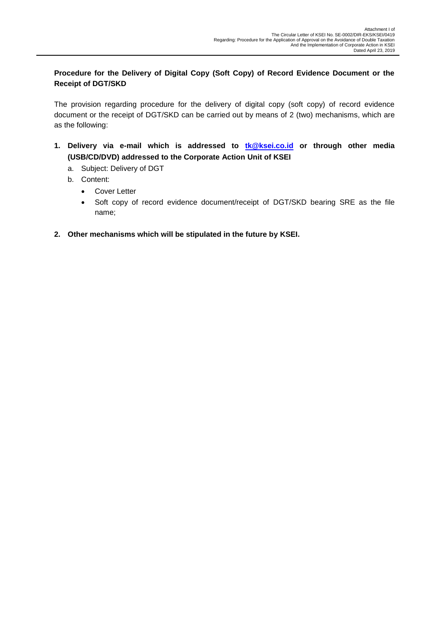## **Procedure for the Delivery of Digital Copy (Soft Copy) of Record Evidence Document or the Receipt of DGT/SKD**

The provision regarding procedure for the delivery of digital copy (soft copy) of record evidence document or the receipt of DGT/SKD can be carried out by means of 2 (two) mechanisms, which are as the following:

- **1. Delivery via e-mail which is addressed to [tk@ksei.co.id](mailto:tk@ksei.co.id) or through other media (USB/CD/DVD) addressed to the Corporate Action Unit of KSEI**
	- a. Subject: Delivery of DGT
	- b. Content:
		- Cover Letter
		- Soft copy of record evidence document/receipt of DGT/SKD bearing SRE as the file name;
- **2. Other mechanisms which will be stipulated in the future by KSEI.**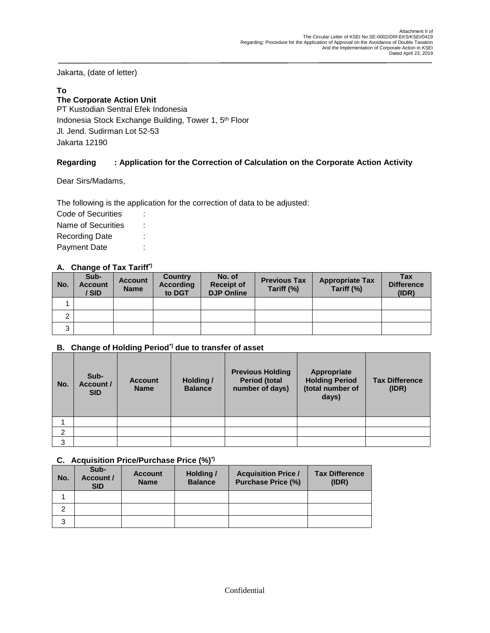Jakarta, (date of letter)

## **To**

## **The Corporate Action Unit**

PT Kustodian Sentral Efek Indonesia Indonesia Stock Exchange Building, Tower 1, 5<sup>th</sup> Floor Jl. Jend. Sudirman Lot 52-53 Jakarta 12190

## **Regarding : Application for the Correction of Calculation on the Corporate Action Activity**

Dear Sirs/Madams,

The following is the application for the correction of data to be adjusted:

Code of Securities : Name of Securities : Recording Date : Payment Date :

## **A. Change of Tax Tariff\*)**

| No. | Sub-<br><b>Account</b><br>' SID | <b>Account</b><br><b>Name</b> | Country<br><b>According</b><br>to DGT | No. of<br><b>Receipt of</b><br><b>DJP Online</b> | <b>Previous Tax</b><br>Tariff (%) | <b>Appropriate Tax</b><br>Tariff (%) | <b>Tax</b><br><b>Difference</b><br>(IDR) |
|-----|---------------------------------|-------------------------------|---------------------------------------|--------------------------------------------------|-----------------------------------|--------------------------------------|------------------------------------------|
|     |                                 |                               |                                       |                                                  |                                   |                                      |                                          |
| ົ   |                                 |                               |                                       |                                                  |                                   |                                      |                                          |
| 3   |                                 |                               |                                       |                                                  |                                   |                                      |                                          |

#### **B. Change of Holding Period\*) due to transfer of asset**

| No. | Sub-<br>Account /<br><b>SID</b> | <b>Account</b><br><b>Name</b> | Holding /<br><b>Balance</b> | <b>Previous Holding</b><br><b>Period (total</b><br>number of days) | Appropriate<br><b>Holding Period</b><br>(total number of<br>days) | <b>Tax Difference</b><br>(IDR) |
|-----|---------------------------------|-------------------------------|-----------------------------|--------------------------------------------------------------------|-------------------------------------------------------------------|--------------------------------|
|     |                                 |                               |                             |                                                                    |                                                                   |                                |
| 2   |                                 |                               |                             |                                                                    |                                                                   |                                |
| 3   |                                 |                               |                             |                                                                    |                                                                   |                                |

#### **C. Acquisition Price/Purchase Price (%)\*)**

| No. | Sub-<br>Account /<br><b>SID</b> | <b>Account</b><br><b>Name</b> | Holding /<br><b>Balance</b> | <b>Acquisition Price /</b><br><b>Purchase Price (%)</b> | <b>Tax Difference</b><br>(IDR) |
|-----|---------------------------------|-------------------------------|-----------------------------|---------------------------------------------------------|--------------------------------|
|     |                                 |                               |                             |                                                         |                                |
| 2   |                                 |                               |                             |                                                         |                                |
| 3   |                                 |                               |                             |                                                         |                                |